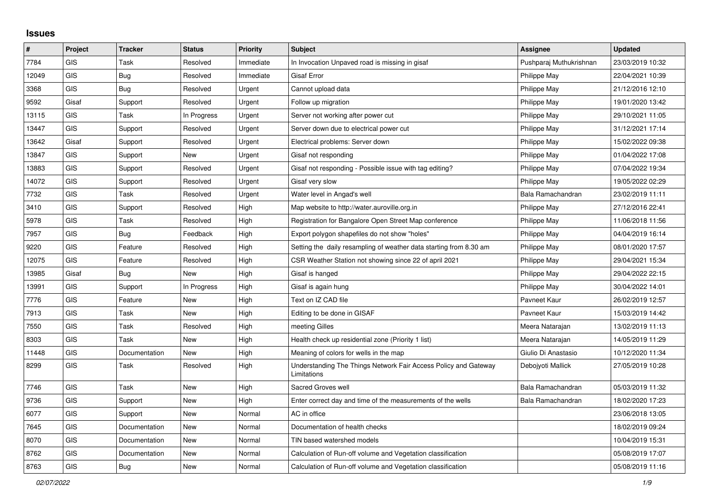## **Issues**

| #     | Project    | <b>Tracker</b> | <b>Status</b> | <b>Priority</b> | <b>Subject</b>                                                                 | <b>Assignee</b>         | <b>Updated</b>   |
|-------|------------|----------------|---------------|-----------------|--------------------------------------------------------------------------------|-------------------------|------------------|
| 7784  | <b>GIS</b> | Task           | Resolved      | Immediate       | In Invocation Unpaved road is missing in gisaf                                 | Pushparaj Muthukrishnan | 23/03/2019 10:32 |
| 12049 | <b>GIS</b> | <b>Bug</b>     | Resolved      | Immediate       | <b>Gisaf Error</b>                                                             | Philippe May            | 22/04/2021 10:39 |
| 3368  | <b>GIS</b> | <b>Bug</b>     | Resolved      | Urgent          | Cannot upload data                                                             | Philippe May            | 21/12/2016 12:10 |
| 9592  | Gisaf      | Support        | Resolved      | Urgent          | Follow up migration                                                            | Philippe May            | 19/01/2020 13:42 |
| 13115 | <b>GIS</b> | Task           | In Progress   | Urgent          | Server not working after power cut                                             | Philippe May            | 29/10/2021 11:05 |
| 13447 | GIS        | Support        | Resolved      | Urgent          | Server down due to electrical power cut                                        | Philippe May            | 31/12/2021 17:14 |
| 13642 | Gisaf      | Support        | Resolved      | Urgent          | Electrical problems: Server down                                               | Philippe May            | 15/02/2022 09:38 |
| 13847 | GIS        | Support        | New           | Urgent          | Gisaf not responding                                                           | Philippe May            | 01/04/2022 17:08 |
| 13883 | GIS        | Support        | Resolved      | Urgent          | Gisaf not responding - Possible issue with tag editing?                        | <b>Philippe May</b>     | 07/04/2022 19:34 |
| 14072 | <b>GIS</b> | Support        | Resolved      | Urgent          | Gisaf very slow                                                                | Philippe May            | 19/05/2022 02:29 |
| 7732  | GIS        | Task           | Resolved      | Urgent          | Water level in Angad's well                                                    | Bala Ramachandran       | 23/02/2019 11:11 |
| 3410  | <b>GIS</b> | Support        | Resolved      | High            | Map website to http://water.auroville.org.in                                   | <b>Philippe May</b>     | 27/12/2016 22:41 |
| 5978  | <b>GIS</b> | Task           | Resolved      | High            | Registration for Bangalore Open Street Map conference                          | Philippe May            | 11/06/2018 11:56 |
| 7957  | <b>GIS</b> | Bug            | Feedback      | High            | Export polygon shapefiles do not show "holes"                                  | Philippe May            | 04/04/2019 16:14 |
| 9220  | GIS        | Feature        | Resolved      | High            | Setting the daily resampling of weather data starting from 8.30 am             | Philippe May            | 08/01/2020 17:57 |
| 12075 | GIS        | Feature        | Resolved      | High            | CSR Weather Station not showing since 22 of april 2021                         | Philippe May            | 29/04/2021 15:34 |
| 13985 | Gisaf      | <b>Bug</b>     | <b>New</b>    | High            | Gisaf is hanged                                                                | Philippe May            | 29/04/2022 22:15 |
| 13991 | GIS        | Support        | In Progress   | High            | Gisaf is again hung                                                            | Philippe May            | 30/04/2022 14:01 |
| 7776  | GIS        | Feature        | <b>New</b>    | High            | Text on IZ CAD file                                                            | Pavneet Kaur            | 26/02/2019 12:57 |
| 7913  | <b>GIS</b> | Task           | New           | High            | Editing to be done in GISAF                                                    | Pavneet Kaur            | 15/03/2019 14:42 |
| 7550  | <b>GIS</b> | Task           | Resolved      | High            | meeting Gilles                                                                 | Meera Natarajan         | 13/02/2019 11:13 |
| 8303  | GIS        | Task           | New           | High            | Health check up residential zone (Priority 1 list)                             | Meera Natarajan         | 14/05/2019 11:29 |
| 11448 | <b>GIS</b> | Documentation  | New           | High            | Meaning of colors for wells in the map                                         | Giulio Di Anastasio     | 10/12/2020 11:34 |
| 8299  | <b>GIS</b> | Task           | Resolved      | High            | Understanding The Things Network Fair Access Policy and Gateway<br>Limitations | Debojyoti Mallick       | 27/05/2019 10:28 |
| 7746  | <b>GIS</b> | Task           | <b>New</b>    | High            | Sacred Groves well                                                             | Bala Ramachandran       | 05/03/2019 11:32 |
| 9736  | GIS        | Support        | <b>New</b>    | High            | Enter correct day and time of the measurements of the wells                    | Bala Ramachandran       | 18/02/2020 17:23 |
| 6077  | <b>GIS</b> | Support        | <b>New</b>    | Normal          | AC in office                                                                   |                         | 23/06/2018 13:05 |
| 7645  | <b>GIS</b> | Documentation  | <b>New</b>    | Normal          | Documentation of health checks                                                 |                         | 18/02/2019 09:24 |
| 8070  | <b>GIS</b> | Documentation  | <b>New</b>    | Normal          | TIN based watershed models                                                     |                         | 10/04/2019 15:31 |
| 8762  | GIS        | Documentation  | <b>New</b>    | Normal          | Calculation of Run-off volume and Vegetation classification                    |                         | 05/08/2019 17:07 |
| 8763  | GIS        | Bug            | <b>New</b>    | Normal          | Calculation of Run-off volume and Vegetation classification                    |                         | 05/08/2019 11:16 |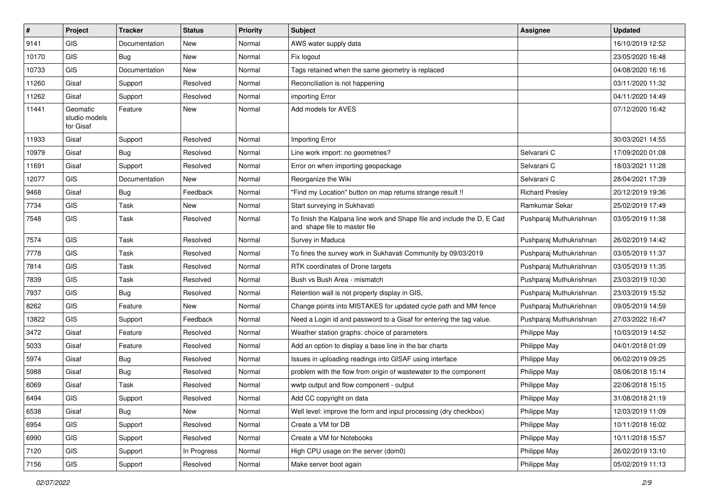| #     | Project                                | <b>Tracker</b> | <b>Status</b> | Priority | <b>Subject</b>                                                                                           | <b>Assignee</b>         | <b>Updated</b>   |
|-------|----------------------------------------|----------------|---------------|----------|----------------------------------------------------------------------------------------------------------|-------------------------|------------------|
| 9141  | <b>GIS</b>                             | Documentation  | <b>New</b>    | Normal   | AWS water supply data                                                                                    |                         | 16/10/2019 12:52 |
| 10170 | GIS                                    | <b>Bug</b>     | <b>New</b>    | Normal   | Fix logout                                                                                               |                         | 23/05/2020 16:48 |
| 10733 | <b>GIS</b>                             | Documentation  | <b>New</b>    | Normal   | Tags retained when the same geometry is replaced                                                         |                         | 04/08/2020 16:16 |
| 11260 | Gisaf                                  | Support        | Resolved      | Normal   | Reconciliation is not happening                                                                          |                         | 03/11/2020 11:32 |
| 11262 | Gisaf                                  | Support        | Resolved      | Normal   | importing Error                                                                                          |                         | 04/11/2020 14:49 |
| 11441 | Geomatic<br>studio models<br>for Gisaf | Feature        | <b>New</b>    | Normal   | Add models for AVES                                                                                      |                         | 07/12/2020 16:42 |
| 11933 | Gisaf                                  | Support        | Resolved      | Normal   | Importing Error                                                                                          |                         | 30/03/2021 14:55 |
| 10979 | Gisaf                                  | Bug            | Resolved      | Normal   | Line work import: no geometries?                                                                         | Selvarani C             | 17/09/2020 01:08 |
| 11691 | Gisaf                                  | Support        | Resolved      | Normal   | Error on when importing geopackage                                                                       | Selvarani C             | 18/03/2021 11:28 |
| 12077 | <b>GIS</b>                             | Documentation  | <b>New</b>    | Normal   | Reorganize the Wiki                                                                                      | Selvarani C             | 28/04/2021 17:39 |
| 9468  | Gisaf                                  | <b>Bug</b>     | Feedback      | Normal   | "Find my Location" button on map returns strange result !!                                               | <b>Richard Presley</b>  | 20/12/2019 19:36 |
| 7734  | <b>GIS</b>                             | Task           | <b>New</b>    | Normal   | Start surveying in Sukhavati                                                                             | Ramkumar Sekar          | 25/02/2019 17:49 |
| 7548  | <b>GIS</b>                             | Task           | Resolved      | Normal   | To finish the Kalpana line work and Shape file and include the D, E Cad<br>and shape file to master file | Pushparaj Muthukrishnan | 03/05/2019 11:38 |
| 7574  | <b>GIS</b>                             | Task           | Resolved      | Normal   | Survey in Maduca                                                                                         | Pushparaj Muthukrishnan | 26/02/2019 14:42 |
| 7778  | <b>GIS</b>                             | Task           | Resolved      | Normal   | To fines the survey work in Sukhavati Community by 09/03/2019                                            | Pushparaj Muthukrishnan | 03/05/2019 11:37 |
| 7814  | <b>GIS</b>                             | Task           | Resolved      | Normal   | RTK coordinates of Drone targets                                                                         | Pushparaj Muthukrishnan | 03/05/2019 11:35 |
| 7839  | <b>GIS</b>                             | Task           | Resolved      | Normal   | Bush vs Bush Area - mismatch                                                                             | Pushparaj Muthukrishnan | 23/03/2019 10:30 |
| 7937  | <b>GIS</b>                             | <b>Bug</b>     | Resolved      | Normal   | Retention wall is not properly display in GIS,                                                           | Pushparaj Muthukrishnan | 23/03/2019 15:52 |
| 8262  | <b>GIS</b>                             | Feature        | New           | Normal   | Change points into MISTAKES for updated cycle path and MM fence                                          | Pushparaj Muthukrishnan | 09/05/2019 14:59 |
| 13822 | <b>GIS</b>                             | Support        | Feedback      | Normal   | Need a Login id and password to a Gisaf for entering the tag value.                                      | Pushparaj Muthukrishnan | 27/03/2022 16:47 |
| 3472  | Gisaf                                  | Feature        | Resolved      | Normal   | Weather station graphs: choice of parameters                                                             | Philippe May            | 10/03/2019 14:52 |
| 5033  | Gisaf                                  | Feature        | Resolved      | Normal   | Add an option to display a base line in the bar charts                                                   | Philippe May            | 04/01/2018 01:09 |
| 5974  | Gisaf                                  | <b>Bug</b>     | Resolved      | Normal   | Issues in uploading readings into GISAF using interface                                                  | Philippe May            | 06/02/2019 09:25 |
| 5988  | Gisaf                                  | <b>Bug</b>     | Resolved      | Normal   | problem with the flow from origin of wastewater to the component                                         | Philippe May            | 08/06/2018 15:14 |
| 6069  | Gisaf                                  | Task           | Resolved      | Normal   | wwtp output and flow component - output                                                                  | Philippe May            | 22/06/2018 15:15 |
| 6494  | GIS                                    | Support        | Resolved      | Normal   | Add CC copyright on data                                                                                 | Philippe May            | 31/08/2018 21:19 |
| 6538  | Gisaf                                  | Bug            | New           | Normal   | Well level: improve the form and input processing (dry checkbox)                                         | Philippe May            | 12/03/2019 11:09 |
| 6954  | GIS                                    | Support        | Resolved      | Normal   | Create a VM for DB                                                                                       | Philippe May            | 10/11/2018 16:02 |
| 6990  | GIS                                    | Support        | Resolved      | Normal   | Create a VM for Notebooks                                                                                | Philippe May            | 10/11/2018 15:57 |
| 7120  | <b>GIS</b>                             | Support        | In Progress   | Normal   | High CPU usage on the server (dom0)                                                                      | Philippe May            | 26/02/2019 13:10 |
| 7156  | GIS                                    | Support        | Resolved      | Normal   | Make server boot again                                                                                   | Philippe May            | 05/02/2019 11:13 |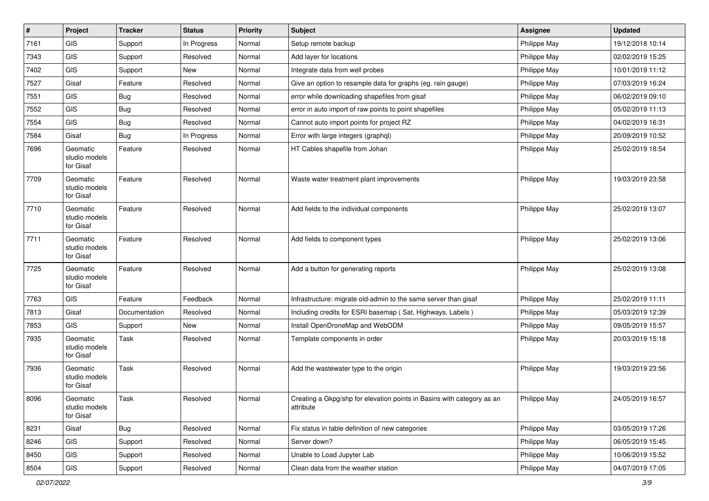| $\pmb{\#}$ | Project                                | <b>Tracker</b> | <b>Status</b> | Priority | Subject                                                                             | <b>Assignee</b> | <b>Updated</b>   |
|------------|----------------------------------------|----------------|---------------|----------|-------------------------------------------------------------------------------------|-----------------|------------------|
| 7161       | <b>GIS</b>                             | Support        | In Progress   | Normal   | Setup remote backup                                                                 | Philippe May    | 19/12/2018 10:14 |
| 7343       | <b>GIS</b>                             | Support        | Resolved      | Normal   | Add layer for locations                                                             | Philippe May    | 02/02/2019 15:25 |
| 7402       | GIS                                    | Support        | New           | Normal   | Integrate data from well probes                                                     | Philippe May    | 10/01/2019 11:12 |
| 7527       | Gisaf                                  | Feature        | Resolved      | Normal   | Give an option to resample data for graphs (eg. rain gauge)                         | Philippe May    | 07/03/2019 16:24 |
| 7551       | <b>GIS</b>                             | <b>Bug</b>     | Resolved      | Normal   | error while downloading shapefiles from gisaf                                       | Philippe May    | 06/02/2019 09:10 |
| 7552       | <b>GIS</b>                             | <b>Bug</b>     | Resolved      | Normal   | error in auto import of raw points to point shapefiles                              | Philippe May    | 05/02/2019 11:13 |
| 7554       | <b>GIS</b>                             | <b>Bug</b>     | Resolved      | Normal   | Cannot auto import points for project RZ                                            | Philippe May    | 04/02/2019 16:31 |
| 7584       | Gisaf                                  | <b>Bug</b>     | In Progress   | Normal   | Error with large integers (graphql)                                                 | Philippe May    | 20/09/2019 10:52 |
| 7696       | Geomatic<br>studio models<br>for Gisaf | Feature        | Resolved      | Normal   | HT Cables shapefile from Johan                                                      | Philippe May    | 25/02/2019 18:54 |
| 7709       | Geomatic<br>studio models<br>for Gisaf | Feature        | Resolved      | Normal   | Waste water treatment plant improvements                                            | Philippe May    | 19/03/2019 23:58 |
| 7710       | Geomatic<br>studio models<br>for Gisaf | Feature        | Resolved      | Normal   | Add fields to the individual components                                             | Philippe May    | 25/02/2019 13:07 |
| 7711       | Geomatic<br>studio models<br>for Gisaf | Feature        | Resolved      | Normal   | Add fields to component types                                                       | Philippe May    | 25/02/2019 13:06 |
| 7725       | Geomatic<br>studio models<br>for Gisaf | Feature        | Resolved      | Normal   | Add a button for generating reports                                                 | Philippe May    | 25/02/2019 13:08 |
| 7763       | <b>GIS</b>                             | Feature        | Feedback      | Normal   | Infrastructure: migrate old-admin to the same server than gisaf                     | Philippe May    | 25/02/2019 11:11 |
| 7813       | Gisaf                                  | Documentation  | Resolved      | Normal   | Including credits for ESRI basemap (Sat, Highways, Labels)                          | Philippe May    | 05/03/2019 12:39 |
| 7853       | <b>GIS</b>                             | Support        | New           | Normal   | Install OpenDroneMap and WebODM                                                     | Philippe May    | 09/05/2019 15:57 |
| 7935       | Geomatic<br>studio models<br>for Gisaf | Task           | Resolved      | Normal   | Template components in order                                                        | Philippe May    | 20/03/2019 15:18 |
| 7936       | Geomatic<br>studio models<br>for Gisaf | Task           | Resolved      | Normal   | Add the wastewater type to the origin                                               | Philippe May    | 19/03/2019 23:56 |
| 8096       | Geomatic<br>studio models<br>for Gisaf | Task           | Resolved      | Normal   | Creating a Gkpg/shp for elevation points in Basins with category as an<br>attribute | Philippe May    | 24/05/2019 16:57 |
| 8231       | Gisaf                                  | Bug            | Resolved      | Normal   | Fix status in table definition of new categories                                    | Philippe May    | 03/05/2019 17:26 |
| 8246       | GIS                                    | Support        | Resolved      | Normal   | Server down?                                                                        | Philippe May    | 06/05/2019 15:45 |
| 8450       | GIS                                    | Support        | Resolved      | Normal   | Unable to Load Jupyter Lab                                                          | Philippe May    | 10/06/2019 15:52 |
| 8504       | GIS                                    | Support        | Resolved      | Normal   | Clean data from the weather station                                                 | Philippe May    | 04/07/2019 17:05 |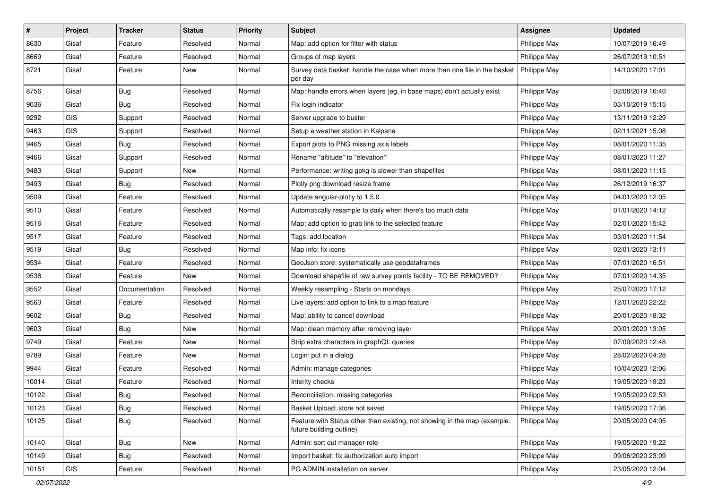| #     | Project    | <b>Tracker</b> | <b>Status</b> | <b>Priority</b> | Subject                                                                                               | <b>Assignee</b> | <b>Updated</b>   |
|-------|------------|----------------|---------------|-----------------|-------------------------------------------------------------------------------------------------------|-----------------|------------------|
| 8630  | Gisaf      | Feature        | Resolved      | Normal          | Map: add option for filter with status                                                                | Philippe May    | 10/07/2019 16:49 |
| 8669  | Gisaf      | Feature        | Resolved      | Normal          | Groups of map layers                                                                                  | Philippe May    | 26/07/2019 10:51 |
| 8721  | Gisaf      | Feature        | New           | Normal          | Survey data basket: handle the case when more than one file in the basket<br>per day                  | Philippe May    | 14/10/2020 17:01 |
| 8756  | Gisaf      | Bug            | Resolved      | Normal          | Map: handle errors when layers (eg, in base maps) don't actually exist                                | Philippe May    | 02/08/2019 16:40 |
| 9036  | Gisaf      | Bug            | Resolved      | Normal          | Fix login indicator                                                                                   | Philippe May    | 03/10/2019 15:15 |
| 9292  | GIS        | Support        | Resolved      | Normal          | Server upgrade to buster                                                                              | Philippe May    | 13/11/2019 12:29 |
| 9463  | <b>GIS</b> | Support        | Resolved      | Normal          | Setup a weather station in Kalpana                                                                    | Philippe May    | 02/11/2021 15:08 |
| 9465  | Gisaf      | Bug            | Resolved      | Normal          | Export plots to PNG missing axis labels                                                               | Philippe May    | 08/01/2020 11:35 |
| 9466  | Gisaf      | Support        | Resolved      | Normal          | Rename "altitude" to "elevation"                                                                      | Philippe May    | 08/01/2020 11:27 |
| 9483  | Gisaf      | Support        | New           | Normal          | Performance: writing gpkg is slower than shapefiles                                                   | Philippe May    | 08/01/2020 11:15 |
| 9493  | Gisaf      | <b>Bug</b>     | Resolved      | Normal          | Plotly png download resize frame                                                                      | Philippe May    | 26/12/2019 16:37 |
| 9509  | Gisaf      | Feature        | Resolved      | Normal          | Update angular-plotly to 1.5.0                                                                        | Philippe May    | 04/01/2020 12:05 |
| 9510  | Gisaf      | Feature        | Resolved      | Normal          | Automatically resample to daily when there's too much data                                            | Philippe May    | 01/01/2020 14:12 |
| 9516  | Gisaf      | Feature        | Resolved      | Normal          | Map: add option to grab link to the selected feature                                                  | Philippe May    | 02/01/2020 15:42 |
| 9517  | Gisaf      | Feature        | Resolved      | Normal          | Tags: add location                                                                                    | Philippe May    | 03/01/2020 11:54 |
| 9519  | Gisaf      | <b>Bug</b>     | Resolved      | Normal          | Map info: fix icons                                                                                   | Philippe May    | 02/01/2020 13:11 |
| 9534  | Gisaf      | Feature        | Resolved      | Normal          | GeoJson store: systematically use geodataframes                                                       | Philippe May    | 07/01/2020 16:51 |
| 9538  | Gisaf      | Feature        | New           | Normal          | Download shapefile of raw survey points facility - TO BE REMOVED?                                     | Philippe May    | 07/01/2020 14:35 |
| 9552  | Gisaf      | Documentation  | Resolved      | Normal          | Weekly resampling - Starts on mondays                                                                 | Philippe May    | 25/07/2020 17:12 |
| 9563  | Gisaf      | Feature        | Resolved      | Normal          | Live layers: add option to link to a map feature                                                      | Philippe May    | 12/01/2020 22:22 |
| 9602  | Gisaf      | <b>Bug</b>     | Resolved      | Normal          | Map: ability to cancel download                                                                       | Philippe May    | 20/01/2020 18:32 |
| 9603  | Gisaf      | Bug            | New           | Normal          | Map: clean memory after removing layer                                                                | Philippe May    | 20/01/2020 13:05 |
| 9749  | Gisaf      | Feature        | New           | Normal          | Strip extra characters in graphQL queries                                                             | Philippe May    | 07/09/2020 12:48 |
| 9789  | Gisaf      | Feature        | New           | Normal          | Login: put in a dialog                                                                                | Philippe May    | 28/02/2020 04:28 |
| 9944  | Gisaf      | Feature        | Resolved      | Normal          | Admin: manage categories                                                                              | Philippe May    | 10/04/2020 12:06 |
| 10014 | Gisaf      | Feature        | Resolved      | Normal          | Interity checks                                                                                       | Philippe May    | 19/05/2020 19:23 |
| 10122 | Gisaf      | Bug            | Resolved      | Normal          | Reconciliation: missing categories                                                                    | Philippe May    | 19/05/2020 02:53 |
| 10123 | Gisaf      | Bug            | Resolved      | Normal          | Basket Upload: store not saved                                                                        | Philippe May    | 19/05/2020 17:36 |
| 10125 | Gisaf      | <b>Bug</b>     | Resolved      | Normal          | Feature with Status other than existing, not showing in the map (example:<br>future building outline) | Philippe May    | 20/05/2020 04:05 |
| 10140 | Gisaf      | Bug            | New           | Normal          | Admin: sort out manager role                                                                          | Philippe May    | 19/05/2020 19:22 |
| 10149 | Gisaf      | <b>Bug</b>     | Resolved      | Normal          | Import basket: fix authorization auto import                                                          | Philippe May    | 09/06/2020 23:09 |
| 10151 | GIS        | Feature        | Resolved      | Normal          | PG ADMIN installation on server                                                                       | Philippe May    | 23/05/2020 12:04 |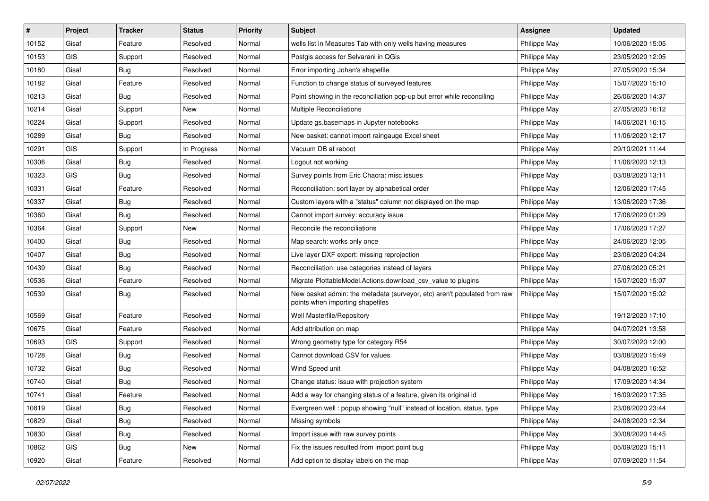| #     | Project    | <b>Tracker</b> | <b>Status</b> | <b>Priority</b> | <b>Subject</b>                                                                                               | <b>Assignee</b> | <b>Updated</b>   |
|-------|------------|----------------|---------------|-----------------|--------------------------------------------------------------------------------------------------------------|-----------------|------------------|
| 10152 | Gisaf      | Feature        | Resolved      | Normal          | wells list in Measures Tab with only wells having measures                                                   | Philippe May    | 10/06/2020 15:05 |
| 10153 | GIS        | Support        | Resolved      | Normal          | Postgis access for Selvarani in QGis                                                                         | Philippe May    | 23/05/2020 12:05 |
| 10180 | Gisaf      | Bug            | Resolved      | Normal          | Error importing Johan's shapefile                                                                            | Philippe May    | 27/05/2020 15:34 |
| 10182 | Gisaf      | Feature        | Resolved      | Normal          | Function to change status of surveyed features                                                               | Philippe May    | 15/07/2020 15:10 |
| 10213 | Gisaf      | Bug            | Resolved      | Normal          | Point showing in the reconciliation pop-up but error while reconciling                                       | Philippe May    | 26/06/2020 14:37 |
| 10214 | Gisaf      | Support        | New           | Normal          | <b>Multiple Reconciliations</b>                                                                              | Philippe May    | 27/05/2020 16:12 |
| 10224 | Gisaf      | Support        | Resolved      | Normal          | Update gs.basemaps in Jupyter notebooks                                                                      | Philippe May    | 14/06/2021 16:15 |
| 10289 | Gisaf      | Bug            | Resolved      | Normal          | New basket: cannot import raingauge Excel sheet                                                              | Philippe May    | 11/06/2020 12:17 |
| 10291 | GIS        | Support        | In Progress   | Normal          | Vacuum DB at reboot                                                                                          | Philippe May    | 29/10/2021 11:44 |
| 10306 | Gisaf      | Bug            | Resolved      | Normal          | Logout not working                                                                                           | Philippe May    | 11/06/2020 12:13 |
| 10323 | <b>GIS</b> | Bug            | Resolved      | Normal          | Survey points from Eric Chacra: misc issues                                                                  | Philippe May    | 03/08/2020 13:11 |
| 10331 | Gisaf      | Feature        | Resolved      | Normal          | Reconciliation: sort layer by alphabetical order                                                             | Philippe May    | 12/06/2020 17:45 |
| 10337 | Gisaf      | Bug            | Resolved      | Normal          | Custom layers with a "status" column not displayed on the map                                                | Philippe May    | 13/06/2020 17:36 |
| 10360 | Gisaf      | Bug            | Resolved      | Normal          | Cannot import survey: accuracy issue                                                                         | Philippe May    | 17/06/2020 01:29 |
| 10364 | Gisaf      | Support        | <b>New</b>    | Normal          | Reconcile the reconciliations                                                                                | Philippe May    | 17/06/2020 17:27 |
| 10400 | Gisaf      | <b>Bug</b>     | Resolved      | Normal          | Map search: works only once                                                                                  | Philippe May    | 24/06/2020 12:05 |
| 10407 | Gisaf      | <b>Bug</b>     | Resolved      | Normal          | Live layer DXF export: missing reprojection                                                                  | Philippe May    | 23/06/2020 04:24 |
| 10439 | Gisaf      | Bug            | Resolved      | Normal          | Reconciliation: use categories instead of layers                                                             | Philippe May    | 27/06/2020 05:21 |
| 10536 | Gisaf      | Feature        | Resolved      | Normal          | Migrate PlottableModel.Actions.download_csv_value to plugins                                                 | Philippe May    | 15/07/2020 15:07 |
| 10539 | Gisaf      | <b>Bug</b>     | Resolved      | Normal          | New basket admin: the metadata (surveyor, etc) aren't populated from raw<br>points when importing shapefiles | Philippe May    | 15/07/2020 15:02 |
| 10569 | Gisaf      | Feature        | Resolved      | Normal          | Well Masterfile/Repository                                                                                   | Philippe May    | 19/12/2020 17:10 |
| 10675 | Gisaf      | Feature        | Resolved      | Normal          | Add attribution on map                                                                                       | Philippe May    | 04/07/2021 13:58 |
| 10693 | <b>GIS</b> | Support        | Resolved      | Normal          | Wrong geometry type for category R54                                                                         | Philippe May    | 30/07/2020 12:00 |
| 10728 | Gisaf      | Bug            | Resolved      | Normal          | Cannot download CSV for values                                                                               | Philippe May    | 03/08/2020 15:49 |
| 10732 | Gisaf      | <b>Bug</b>     | Resolved      | Normal          | Wind Speed unit                                                                                              | Philippe May    | 04/08/2020 16:52 |
| 10740 | Gisaf      | Bug            | Resolved      | Normal          | Change status: issue with projection system                                                                  | Philippe May    | 17/09/2020 14:34 |
| 10741 | Gisaf      | Feature        | Resolved      | Normal          | Add a way for changing status of a feature, given its original id                                            | Philippe May    | 16/09/2020 17:35 |
| 10819 | Gisaf      | Bug            | Resolved      | Normal          | Evergreen well : popup showing "null" instead of location, status, type                                      | Philippe May    | 23/08/2020 23:44 |
| 10829 | Gisaf      | <b>Bug</b>     | Resolved      | Normal          | Missing symbols                                                                                              | Philippe May    | 24/08/2020 12:34 |
| 10830 | Gisaf      | <b>Bug</b>     | Resolved      | Normal          | Import issue with raw survey points                                                                          | Philippe May    | 30/08/2020 14:45 |
| 10862 | GIS        | <b>Bug</b>     | New           | Normal          | Fix the issues resulted from import point bug                                                                | Philippe May    | 05/09/2020 15:11 |
| 10920 | Gisaf      | Feature        | Resolved      | Normal          | Add option to display labels on the map                                                                      | Philippe May    | 07/09/2020 11:54 |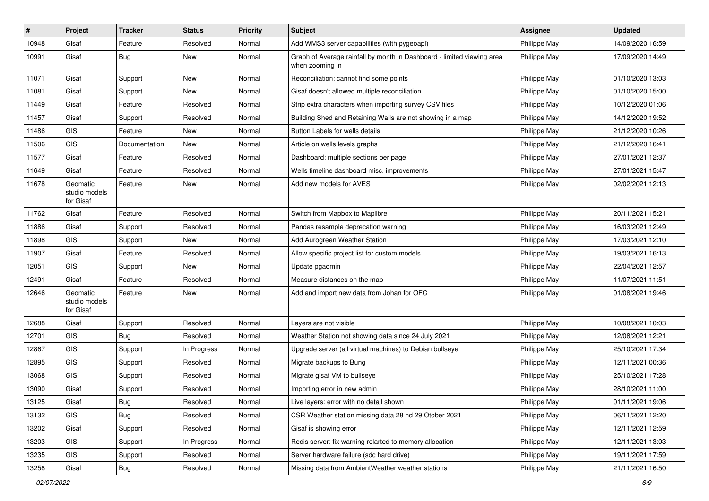| #     | Project                                | <b>Tracker</b> | <b>Status</b> | <b>Priority</b> | Subject                                                                                   | <b>Assignee</b>     | <b>Updated</b>   |
|-------|----------------------------------------|----------------|---------------|-----------------|-------------------------------------------------------------------------------------------|---------------------|------------------|
| 10948 | Gisaf                                  | Feature        | Resolved      | Normal          | Add WMS3 server capabilities (with pygeoapi)                                              | Philippe May        | 14/09/2020 16:59 |
| 10991 | Gisaf                                  | <b>Bug</b>     | New           | Normal          | Graph of Average rainfall by month in Dashboard - limited viewing area<br>when zooming in | Philippe May        | 17/09/2020 14:49 |
| 11071 | Gisaf                                  | Support        | New           | Normal          | Reconciliation: cannot find some points                                                   | Philippe May        | 01/10/2020 13:03 |
| 11081 | Gisaf                                  | Support        | New           | Normal          | Gisaf doesn't allowed multiple reconciliation                                             | Philippe May        | 01/10/2020 15:00 |
| 11449 | Gisaf                                  | Feature        | Resolved      | Normal          | Strip extra characters when importing survey CSV files                                    | Philippe May        | 10/12/2020 01:06 |
| 11457 | Gisaf                                  | Support        | Resolved      | Normal          | Building Shed and Retaining Walls are not showing in a map                                | Philippe May        | 14/12/2020 19:52 |
| 11486 | GIS                                    | Feature        | <b>New</b>    | Normal          | Button Labels for wells details                                                           | Philippe May        | 21/12/2020 10:26 |
| 11506 | GIS                                    | Documentation  | New           | Normal          | Article on wells levels graphs                                                            | Philippe May        | 21/12/2020 16:41 |
| 11577 | Gisaf                                  | Feature        | Resolved      | Normal          | Dashboard: multiple sections per page                                                     | Philippe May        | 27/01/2021 12:37 |
| 11649 | Gisaf                                  | Feature        | Resolved      | Normal          | Wells timeline dashboard misc. improvements                                               | Philippe May        | 27/01/2021 15:47 |
| 11678 | Geomatic<br>studio models<br>for Gisaf | Feature        | New           | Normal          | Add new models for AVES                                                                   | Philippe May        | 02/02/2021 12:13 |
| 11762 | Gisaf                                  | Feature        | Resolved      | Normal          | Switch from Mapbox to Maplibre                                                            | Philippe May        | 20/11/2021 15:21 |
| 11886 | Gisaf                                  | Support        | Resolved      | Normal          | Pandas resample deprecation warning                                                       | Philippe May        | 16/03/2021 12:49 |
| 11898 | <b>GIS</b>                             | Support        | New           | Normal          | Add Aurogreen Weather Station                                                             | Philippe May        | 17/03/2021 12:10 |
| 11907 | Gisaf                                  | Feature        | Resolved      | Normal          | Allow specific project list for custom models                                             | Philippe May        | 19/03/2021 16:13 |
| 12051 | <b>GIS</b>                             | Support        | New           | Normal          | Update pgadmin                                                                            | Philippe May        | 22/04/2021 12:57 |
| 12491 | Gisaf                                  | Feature        | Resolved      | Normal          | Measure distances on the map                                                              | Philippe May        | 11/07/2021 11:51 |
| 12646 | Geomatic<br>studio models<br>for Gisaf | Feature        | New           | Normal          | Add and import new data from Johan for OFC                                                | Philippe May        | 01/08/2021 19:46 |
| 12688 | Gisaf                                  | Support        | Resolved      | Normal          | Layers are not visible                                                                    | Philippe May        | 10/08/2021 10:03 |
| 12701 | GIS                                    | Bug            | Resolved      | Normal          | Weather Station not showing data since 24 July 2021                                       | Philippe May        | 12/08/2021 12:21 |
| 12867 | <b>GIS</b>                             | Support        | In Progress   | Normal          | Upgrade server (all virtual machines) to Debian bullseye                                  | Philippe May        | 25/10/2021 17:34 |
| 12895 | GIS                                    | Support        | Resolved      | Normal          | Migrate backups to Bung                                                                   | Philippe May        | 12/11/2021 00:36 |
| 13068 | GIS                                    | Support        | Resolved      | Normal          | Migrate gisaf VM to bullseye                                                              | Philippe May        | 25/10/2021 17:28 |
| 13090 | Gisaf                                  | Support        | Resolved      | Normal          | Importing error in new admin                                                              | Philippe May        | 28/10/2021 11:00 |
| 13125 | Gisaf                                  | Bug            | Resolved      | Normal          | Live layers: error with no detail shown                                                   | <b>Philippe May</b> | 01/11/2021 19:06 |
| 13132 | GIS                                    | Bug            | Resolved      | Normal          | CSR Weather station missing data 28 nd 29 Otober 2021                                     | Philippe May        | 06/11/2021 12:20 |
| 13202 | Gisaf                                  | Support        | Resolved      | Normal          | Gisaf is showing error                                                                    | Philippe May        | 12/11/2021 12:59 |
| 13203 | GIS                                    | Support        | In Progress   | Normal          | Redis server: fix warning relarted to memory allocation                                   | Philippe May        | 12/11/2021 13:03 |
| 13235 | GIS                                    | Support        | Resolved      | Normal          | Server hardware failure (sdc hard drive)                                                  | Philippe May        | 19/11/2021 17:59 |
| 13258 | Gisaf                                  | Bug            | Resolved      | Normal          | Missing data from AmbientWeather weather stations                                         | Philippe May        | 21/11/2021 16:50 |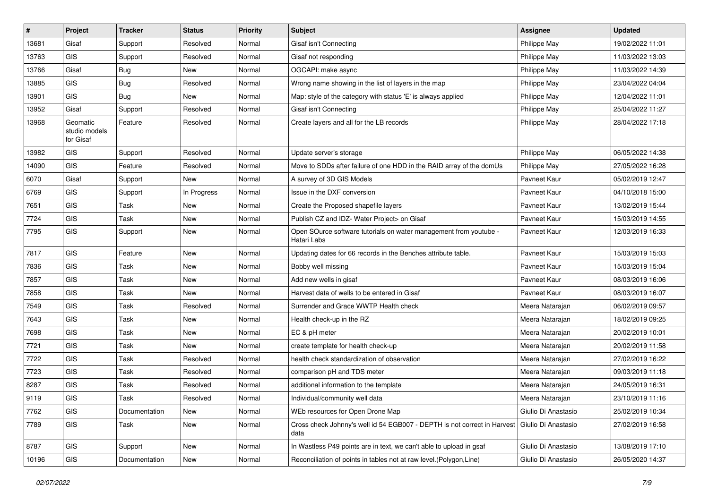| #     | Project                                | <b>Tracker</b> | <b>Status</b> | Priority | Subject                                                                                                | <b>Assignee</b>     | <b>Updated</b>   |
|-------|----------------------------------------|----------------|---------------|----------|--------------------------------------------------------------------------------------------------------|---------------------|------------------|
| 13681 | Gisaf                                  | Support        | Resolved      | Normal   | Gisaf isn't Connecting                                                                                 | Philippe May        | 19/02/2022 11:01 |
| 13763 | <b>GIS</b>                             | Support        | Resolved      | Normal   | Gisaf not responding                                                                                   | Philippe May        | 11/03/2022 13:03 |
| 13766 | Gisaf                                  | <b>Bug</b>     | New           | Normal   | OGCAPI: make async                                                                                     | Philippe May        | 11/03/2022 14:39 |
| 13885 | <b>GIS</b>                             | Bug            | Resolved      | Normal   | Wrong name showing in the list of layers in the map                                                    | Philippe May        | 23/04/2022 04:04 |
| 13901 | <b>GIS</b>                             | Bug            | <b>New</b>    | Normal   | Map: style of the category with status 'E' is always applied                                           | Philippe May        | 12/04/2022 11:01 |
| 13952 | Gisaf                                  | Support        | Resolved      | Normal   | Gisaf isn't Connecting                                                                                 | Philippe May        | 25/04/2022 11:27 |
| 13968 | Geomatic<br>studio models<br>for Gisaf | Feature        | Resolved      | Normal   | Create layers and all for the LB records                                                               | Philippe May        | 28/04/2022 17:18 |
| 13982 | <b>GIS</b>                             | Support        | Resolved      | Normal   | Update server's storage                                                                                | Philippe May        | 06/05/2022 14:38 |
| 14090 | <b>GIS</b>                             | Feature        | Resolved      | Normal   | Move to SDDs after failure of one HDD in the RAID array of the domUs                                   | Philippe May        | 27/05/2022 16:28 |
| 6070  | Gisaf                                  | Support        | New           | Normal   | A survey of 3D GIS Models                                                                              | Pavneet Kaur        | 05/02/2019 12:47 |
| 6769  | <b>GIS</b>                             | Support        | In Progress   | Normal   | Issue in the DXF conversion                                                                            | Pavneet Kaur        | 04/10/2018 15:00 |
| 7651  | <b>GIS</b>                             | Task           | New           | Normal   | Create the Proposed shapefile layers                                                                   | Pavneet Kaur        | 13/02/2019 15:44 |
| 7724  | <b>GIS</b>                             | Task           | New           | Normal   | Publish CZ and IDZ- Water Project> on Gisaf                                                            | Pavneet Kaur        | 15/03/2019 14:55 |
| 7795  | <b>GIS</b>                             | Support        | New           | Normal   | Open SOurce software tutorials on water management from youtube -<br>Hatari Labs                       | Pavneet Kaur        | 12/03/2019 16:33 |
| 7817  | <b>GIS</b>                             | Feature        | New           | Normal   | Updating dates for 66 records in the Benches attribute table.                                          | Pavneet Kaur        | 15/03/2019 15:03 |
| 7836  | <b>GIS</b>                             | Task           | New           | Normal   | Bobby well missing                                                                                     | Pavneet Kaur        | 15/03/2019 15:04 |
| 7857  | <b>GIS</b>                             | Task           | New           | Normal   | Add new wells in gisaf                                                                                 | Pavneet Kaur        | 08/03/2019 16:06 |
| 7858  | <b>GIS</b>                             | Task           | <b>New</b>    | Normal   | Harvest data of wells to be entered in Gisaf                                                           | Pavneet Kaur        | 08/03/2019 16:07 |
| 7549  | <b>GIS</b>                             | Task           | Resolved      | Normal   | Surrender and Grace WWTP Health check                                                                  | Meera Natarajan     | 06/02/2019 09:57 |
| 7643  | <b>GIS</b>                             | Task           | <b>New</b>    | Normal   | Health check-up in the RZ                                                                              | Meera Natarajan     | 18/02/2019 09:25 |
| 7698  | <b>GIS</b>                             | Task           | New           | Normal   | EC & pH meter                                                                                          | Meera Natarajan     | 20/02/2019 10:01 |
| 7721  | <b>GIS</b>                             | Task           | New           | Normal   | create template for health check-up                                                                    | Meera Natarajan     | 20/02/2019 11:58 |
| 7722  | GIS                                    | Task           | Resolved      | Normal   | health check standardization of observation                                                            | Meera Natarajan     | 27/02/2019 16:22 |
| 7723  | <b>GIS</b>                             | Task           | Resolved      | Normal   | comparison pH and TDS meter                                                                            | Meera Natarajan     | 09/03/2019 11:18 |
| 8287  | <b>GIS</b>                             | Task           | Resolved      | Normal   | additional information to the template                                                                 | Meera Natarajan     | 24/05/2019 16:31 |
| 9119  | GIS                                    | Task           | Resolved      | Normal   | Individual/community well data                                                                         | Meera Natarajan     | 23/10/2019 11:16 |
| 7762  | GIS                                    | Documentation  | New           | Normal   | WEb resources for Open Drone Map                                                                       | Giulio Di Anastasio | 25/02/2019 10:34 |
| 7789  | GIS                                    | Task           | New           | Normal   | Cross check Johnny's well id 54 EGB007 - DEPTH is not correct in Harvest   Giulio Di Anastasio<br>data |                     | 27/02/2019 16:58 |
| 8787  | GIS                                    | Support        | New           | Normal   | In Wastless P49 points are in text, we can't able to upload in gsaf                                    | Giulio Di Anastasio | 13/08/2019 17:10 |
| 10196 | GIS                                    | Documentation  | New           | Normal   | Reconciliation of points in tables not at raw level.(Polygon,Line)                                     | Giulio Di Anastasio | 26/05/2020 14:37 |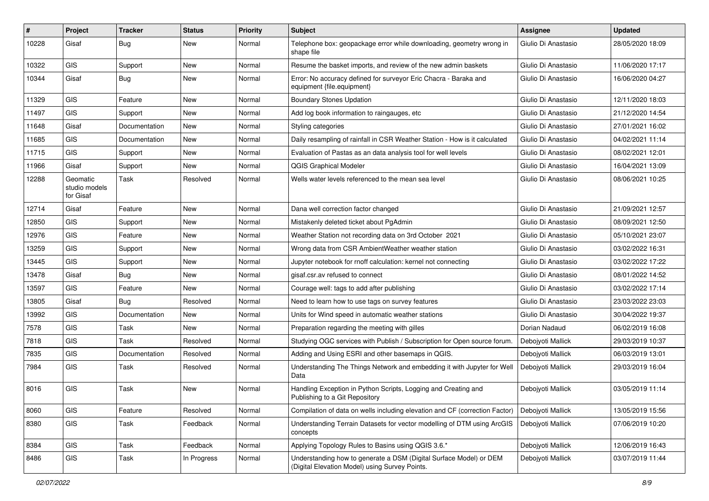| #     | Project                                | <b>Tracker</b> | <b>Status</b> | <b>Priority</b> | <b>Subject</b>                                                                                                       | Assignee            | <b>Updated</b>   |
|-------|----------------------------------------|----------------|---------------|-----------------|----------------------------------------------------------------------------------------------------------------------|---------------------|------------------|
| 10228 | Gisaf                                  | Bug            | New           | Normal          | Telephone box: geopackage error while downloading, geometry wrong in<br>shape file                                   | Giulio Di Anastasio | 28/05/2020 18:09 |
| 10322 | <b>GIS</b>                             | Support        | <b>New</b>    | Normal          | Resume the basket imports, and review of the new admin baskets                                                       | Giulio Di Anastasio | 11/06/2020 17:17 |
| 10344 | Gisaf                                  | <b>Bug</b>     | New           | Normal          | Error: No accuracy defined for surveyor Eric Chacra - Baraka and<br>equipment {file.equipment}                       | Giulio Di Anastasio | 16/06/2020 04:27 |
| 11329 | <b>GIS</b>                             | Feature        | <b>New</b>    | Normal          | <b>Boundary Stones Updation</b>                                                                                      | Giulio Di Anastasio | 12/11/2020 18:03 |
| 11497 | <b>GIS</b>                             | Support        | <b>New</b>    | Normal          | Add log book information to raingauges, etc.                                                                         | Giulio Di Anastasio | 21/12/2020 14:54 |
| 11648 | Gisaf                                  | Documentation  | New           | Normal          | Styling categories                                                                                                   | Giulio Di Anastasio | 27/01/2021 16:02 |
| 11685 | GIS                                    | Documentation  | New           | Normal          | Daily resampling of rainfall in CSR Weather Station - How is it calculated                                           | Giulio Di Anastasio | 04/02/2021 11:14 |
| 11715 | GIS                                    | Support        | New           | Normal          | Evaluation of Pastas as an data analysis tool for well levels                                                        | Giulio Di Anastasio | 08/02/2021 12:01 |
| 11966 | Gisaf                                  | Support        | New           | Normal          | <b>QGIS Graphical Modeler</b>                                                                                        | Giulio Di Anastasio | 16/04/2021 13:09 |
| 12288 | Geomatic<br>studio models<br>for Gisaf | Task           | Resolved      | Normal          | Wells water levels referenced to the mean sea level                                                                  | Giulio Di Anastasio | 08/06/2021 10:25 |
| 12714 | Gisaf                                  | Feature        | New           | Normal          | Dana well correction factor changed                                                                                  | Giulio Di Anastasio | 21/09/2021 12:57 |
| 12850 | <b>GIS</b>                             | Support        | New           | Normal          | Mistakenly deleted ticket about PgAdmin                                                                              | Giulio Di Anastasio | 08/09/2021 12:50 |
| 12976 | <b>GIS</b>                             | Feature        | New           | Normal          | Weather Station not recording data on 3rd October 2021                                                               | Giulio Di Anastasio | 05/10/2021 23:07 |
| 13259 | GIS                                    | Support        | New           | Normal          | Wrong data from CSR AmbientWeather weather station                                                                   | Giulio Di Anastasio | 03/02/2022 16:31 |
| 13445 | <b>GIS</b>                             | Support        | New           | Normal          | Jupyter notebook for rnoff calculation: kernel not connecting                                                        | Giulio Di Anastasio | 03/02/2022 17:22 |
| 13478 | Gisaf                                  | Bug            | New           | Normal          | gisaf.csr.av refused to connect                                                                                      | Giulio Di Anastasio | 08/01/2022 14:52 |
| 13597 | <b>GIS</b>                             | Feature        | <b>New</b>    | Normal          | Courage well: tags to add after publishing                                                                           | Giulio Di Anastasio | 03/02/2022 17:14 |
| 13805 | Gisaf                                  | Bug            | Resolved      | Normal          | Need to learn how to use tags on survey features                                                                     | Giulio Di Anastasio | 23/03/2022 23:03 |
| 13992 | <b>GIS</b>                             | Documentation  | <b>New</b>    | Normal          | Units for Wind speed in automatic weather stations                                                                   | Giulio Di Anastasio | 30/04/2022 19:37 |
| 7578  | <b>GIS</b>                             | Task           | New           | Normal          | Preparation regarding the meeting with gilles                                                                        | Dorian Nadaud       | 06/02/2019 16:08 |
| 7818  | GIS                                    | Task           | Resolved      | Normal          | Studying OGC services with Publish / Subscription for Open source forum.                                             | Debojyoti Mallick   | 29/03/2019 10:37 |
| 7835  | GIS                                    | Documentation  | Resolved      | Normal          | Adding and Using ESRI and other basemaps in QGIS.                                                                    | Deboivoti Mallick   | 06/03/2019 13:01 |
| 7984  | <b>GIS</b>                             | Task           | Resolved      | Normal          | Understanding The Things Network and embedding it with Jupyter for Well<br>Data                                      | Debojyoti Mallick   | 29/03/2019 16:04 |
| 8016  | GIS                                    | Task           | New           | Normal          | Handling Exception in Python Scripts, Logging and Creating and<br>Publishing to a Git Repository                     | Debojyoti Mallick   | 03/05/2019 11:14 |
| 8060  | <b>GIS</b>                             | Feature        | Resolved      | Normal          | Compilation of data on wells including elevation and CF (correction Factor)                                          | Debojyoti Mallick   | 13/05/2019 15:56 |
| 8380  | GIS                                    | Task           | Feedback      | Normal          | Understanding Terrain Datasets for vector modelling of DTM using ArcGIS<br>concepts                                  | Debojyoti Mallick   | 07/06/2019 10:20 |
| 8384  | GIS                                    | Task           | Feedback      | Normal          | Applying Topology Rules to Basins using QGIS 3.6.*                                                                   | Debojyoti Mallick   | 12/06/2019 16:43 |
| 8486  | GIS                                    | Task           | In Progress   | Normal          | Understanding how to generate a DSM (Digital Surface Model) or DEM<br>(Digital Elevation Model) using Survey Points. | Debojyoti Mallick   | 03/07/2019 11:44 |